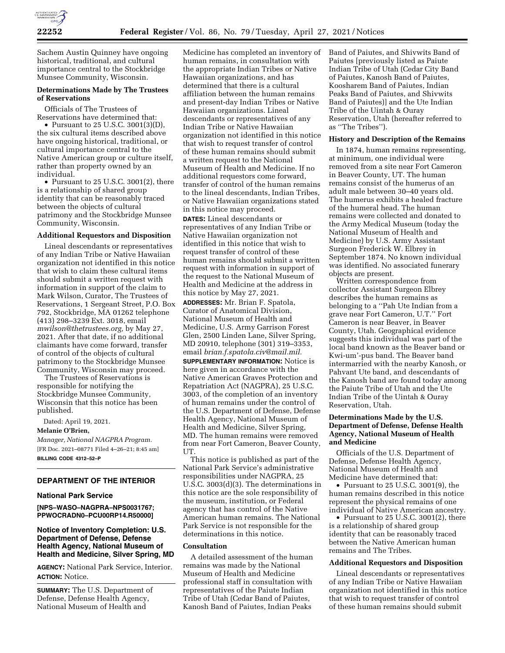

Sachem Austin Quinney have ongoing historical, traditional, and cultural importance central to the Stockbridge Munsee Community, Wisconsin.

# **Determinations Made by The Trustees of Reservations**

Officials of The Trustees of Reservations have determined that:

• Pursuant to 25 U.S.C. 3001(3)(D), the six cultural items described above have ongoing historical, traditional, or cultural importance central to the Native American group or culture itself, rather than property owned by an individual.

• Pursuant to 25 U.S.C. 3001(2), there is a relationship of shared group identity that can be reasonably traced between the objects of cultural patrimony and the Stockbridge Munsee Community, Wisconsin.

# **Additional Requestors and Disposition**

Lineal descendants or representatives of any Indian Tribe or Native Hawaiian organization not identified in this notice that wish to claim these cultural items should submit a written request with information in support of the claim to Mark Wilson, Curator, The Trustees of Reservations, 1 Sergeant Street, P.O. Box 792, Stockbridge, MA 01262 telephone (413) 298–3239 Ext. 3018, email *[mwilson@thetrustees.org,](mailto:mwilson@thetrustees.org)* by May 27, 2021. After that date, if no additional claimants have come forward, transfer of control of the objects of cultural patrimony to the Stockbridge Munsee Community, Wisconsin may proceed.

The Trustees of Reservations is responsible for notifying the Stockbridge Munsee Community, Wisconsin that this notice has been published.

Dated: April 19, 2021.

**Melanie O'Brien,** 

*Manager, National NAGPRA Program.*  [FR Doc. 2021–08771 Filed 4–26–21; 8:45 am] **BILLING CODE 4312–52–P** 

# **DEPARTMENT OF THE INTERIOR**

## **National Park Service**

**[NPS–WASO–NAGPRA–NPS0031767; PPWOCRADN0–PCU00RP14.R50000]** 

# **Notice of Inventory Completion: U.S. Department of Defense, Defense Health Agency, National Museum of Health and Medicine, Silver Spring, MD**

**AGENCY:** National Park Service, Interior. **ACTION:** Notice.

**SUMMARY:** The U.S. Department of Defense, Defense Health Agency, National Museum of Health and

Medicine has completed an inventory of human remains, in consultation with the appropriate Indian Tribes or Native Hawaiian organizations, and has determined that there is a cultural affiliation between the human remains and present-day Indian Tribes or Native Hawaiian organizations. Lineal descendants or representatives of any Indian Tribe or Native Hawaiian organization not identified in this notice that wish to request transfer of control of these human remains should submit a written request to the National Museum of Health and Medicine. If no additional requestors come forward, transfer of control of the human remains to the lineal descendants, Indian Tribes, or Native Hawaiian organizations stated in this notice may proceed. **DATES:** Lineal descendants or representatives of any Indian Tribe or Native Hawaiian organization not identified in this notice that wish to request transfer of control of these human remains should submit a written request with information in support of the request to the National Museum of

this notice by May 27, 2021. **ADDRESSES:** Mr. Brian F. Spatola, Curator of Anatomical Division, National Museum of Health and Medicine, U.S. Army Garrison Forest Glen, 2500 Linden Lane, Silver Spring, MD 20910, telephone (301) 319–3353, email *[brian.f.spatola.civ@mail.mil.](mailto:brian.f.spatola.civ@mail.mil)* 

Health and Medicine at the address in

**SUPPLEMENTARY INFORMATION:** Notice is here given in accordance with the Native American Graves Protection and Repatriation Act (NAGPRA), 25 U.S.C. 3003, of the completion of an inventory of human remains under the control of the U.S. Department of Defense, Defense Health Agency, National Museum of Health and Medicine, Silver Spring, MD. The human remains were removed from near Fort Cameron, Beaver County, UT.

This notice is published as part of the National Park Service's administrative responsibilities under NAGPRA, 25 U.S.C. 3003(d)(3). The determinations in this notice are the sole responsibility of the museum, institution, or Federal agency that has control of the Native American human remains. The National Park Service is not responsible for the determinations in this notice.

## **Consultation**

A detailed assessment of the human remains was made by the National Museum of Health and Medicine professional staff in consultation with representatives of the Paiute Indian Tribe of Utah (Cedar Band of Paiutes, Kanosh Band of Paiutes, Indian Peaks

Band of Paiutes, and Shivwits Band of Paiutes [previously listed as Paiute Indian Tribe of Utah (Cedar City Band of Paiutes, Kanosh Band of Paiutes, Koosharem Band of Paiutes, Indian Peaks Band of Paiutes, and Shivwits Band of Paiutes)] and the Ute Indian Tribe of the Uintah & Ouray Reservation, Utah (hereafter referred to as ''The Tribes'').

## **History and Description of the Remains**

In 1874, human remains representing, at minimum, one individual were removed from a site near Fort Cameron in Beaver County, UT. The human remains consist of the humerus of an adult male between 30–40 years old. The humerus exhibits a healed fracture of the humeral head. The human remains were collected and donated to the Army Medical Museum (today the National Museum of Health and Medicine) by U.S. Army Assistant Surgeon Frederick W. Elbrey in September 1874. No known individual was identified. No associated funerary objects are present.

Written correspondence from collector Assistant Surgeon Elbrey describes the human remains as belonging to a ''Pah Ute Indian from a grave near Fort Cameron, U.T.'' Fort Cameron is near Beaver, in Beaver County, Utah. Geographical evidence suggests this individual was part of the local band known as the Beaver band or Kwi-um'-pus band. The Beaver band intermarried with the nearby Kanosh, or Pahvant Ute band, and descendants of the Kanosh band are found today among the Paiute Tribe of Utah and the Ute Indian Tribe of the Uintah & Ouray Reservation, Utah.

# **Determinations Made by the U.S. Department of Defense, Defense Health Agency, National Museum of Health and Medicine**

Officials of the U.S. Department of Defense, Defense Health Agency, National Museum of Health and Medicine have determined that:

• Pursuant to 25 U.S.C. 3001(9), the human remains described in this notice represent the physical remains of one individual of Native American ancestry.

• Pursuant to 25 U.S.C. 3001(2), there is a relationship of shared group identity that can be reasonably traced between the Native American human remains and The Tribes.

#### **Additional Requestors and Disposition**

Lineal descendants or representatives of any Indian Tribe or Native Hawaiian organization not identified in this notice that wish to request transfer of control of these human remains should submit